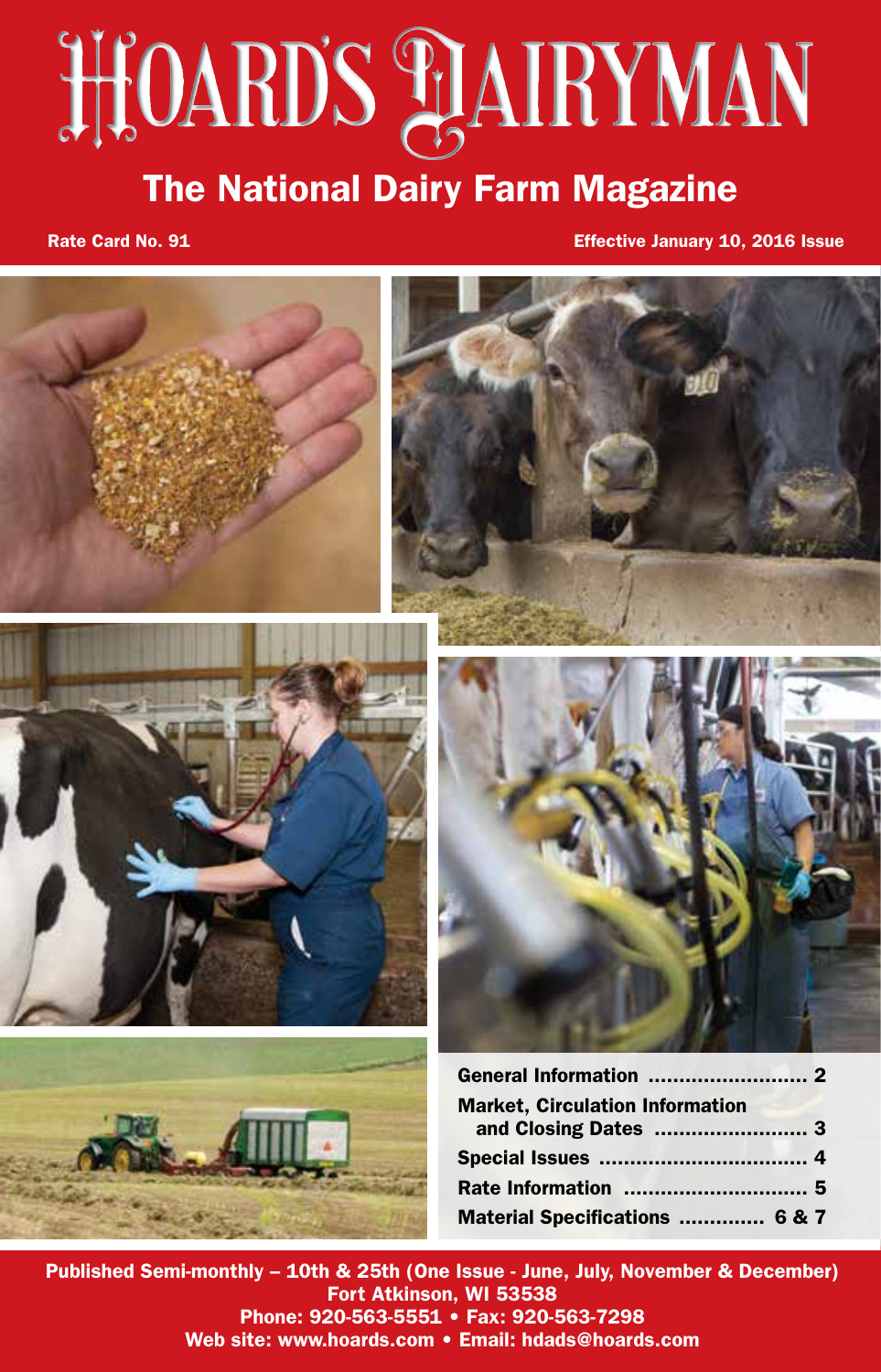# **HOARD'S PLAIRYMAN**

# The National Dairy Farm Magazine

Rate Card No. 91 **Example 2018** Issue Card No. 91 **Example 2018** Issue Card No. 2016 Issue



Published Semi-monthly – 10th & 25th (One Issue - June, July, November & December) Fort Atkinson, WI 53538 Phone: 920-563-5551 • Fax: 920-563-7298 Web site: www.hoards.com • Email: hdads@hoards.com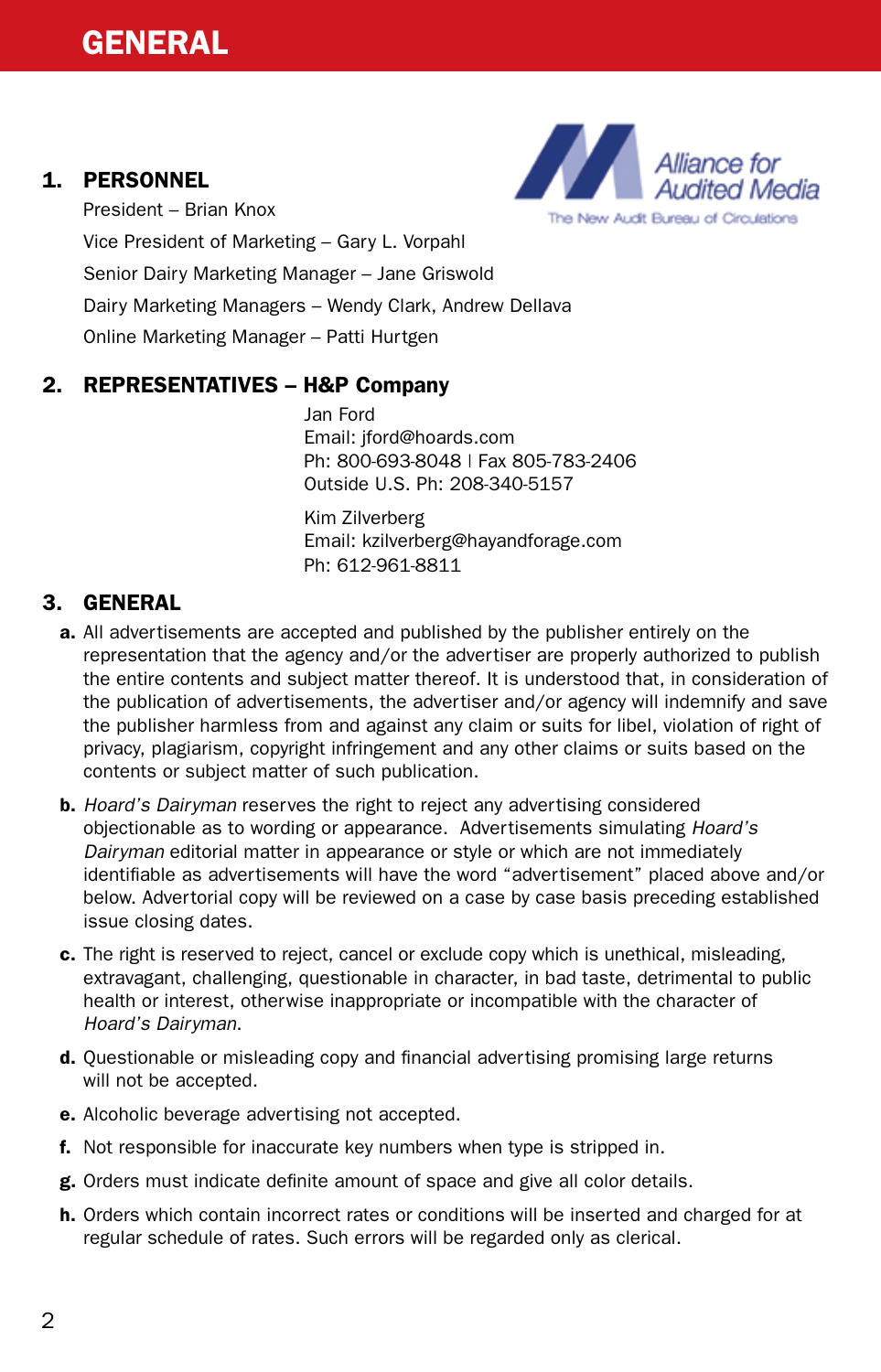## 1. PERSONNEL



President – Brian Knox Vice President of Marketing – Gary L. Vorpahl Senior Dairy Marketing Manager – Jane Griswold Dairy Marketing Managers – Wendy Clark, Andrew Dellava Online Marketing Manager – Patti Hurtgen

## 2. REPRESENTATIVES – H&P Company

 Jan Ford Email: jford@hoards.com Ph: 800-693-8048 | Fax 805-783-2406 Outside U.S. Ph: 208-340-5157

 Kim Zilverberg Email: kzilverberg@hayandforage.com Ph: 612-961-8811

# 3. GENERAL

- a. All advertisements are accepted and published by the publisher entirely on the representation that the agency and/or the advertiser are properly authorized to publish the entire contents and subject matter thereof. It is understood that, in consideration of the publication of advertisements, the advertiser and/or agency will indemnify and save the publisher harmless from and against any claim or suits for libel, violation of right of privacy, plagiarism, copyright infringement and any other claims or suits based on the contents or subject matter of such publication.
- b. *Hoard's Dairyman* reserves the right to reject any advertising considered objectionable as to wording or appearance. Advertisements simulating *Hoard's Dairyman* editorial matter in appearance or style or which are not immediately identifiable as advertisements will have the word "advertisement" placed above and/or below. Advertorial copy will be reviewed on a case by case basis preceding established issue closing dates.
- c. The right is reserved to reject, cancel or exclude copy which is unethical, misleading, extravagant, challenging, questionable in character, in bad taste, detrimental to public health or interest, otherwise inappropriate or incompatible with the character of *Hoard's Dairyman*.
- d. Questionable or misleading copy and financial advertising promising large returns will not be accepted.
- e. Alcoholic beverage advertising not accepted.
- f. Not responsible for inaccurate key numbers when type is stripped in.
- g. Orders must indicate definite amount of space and give all color details.
- h. Orders which contain incorrect rates or conditions will be inserted and charged for at regular schedule of rates. Such errors will be regarded only as clerical.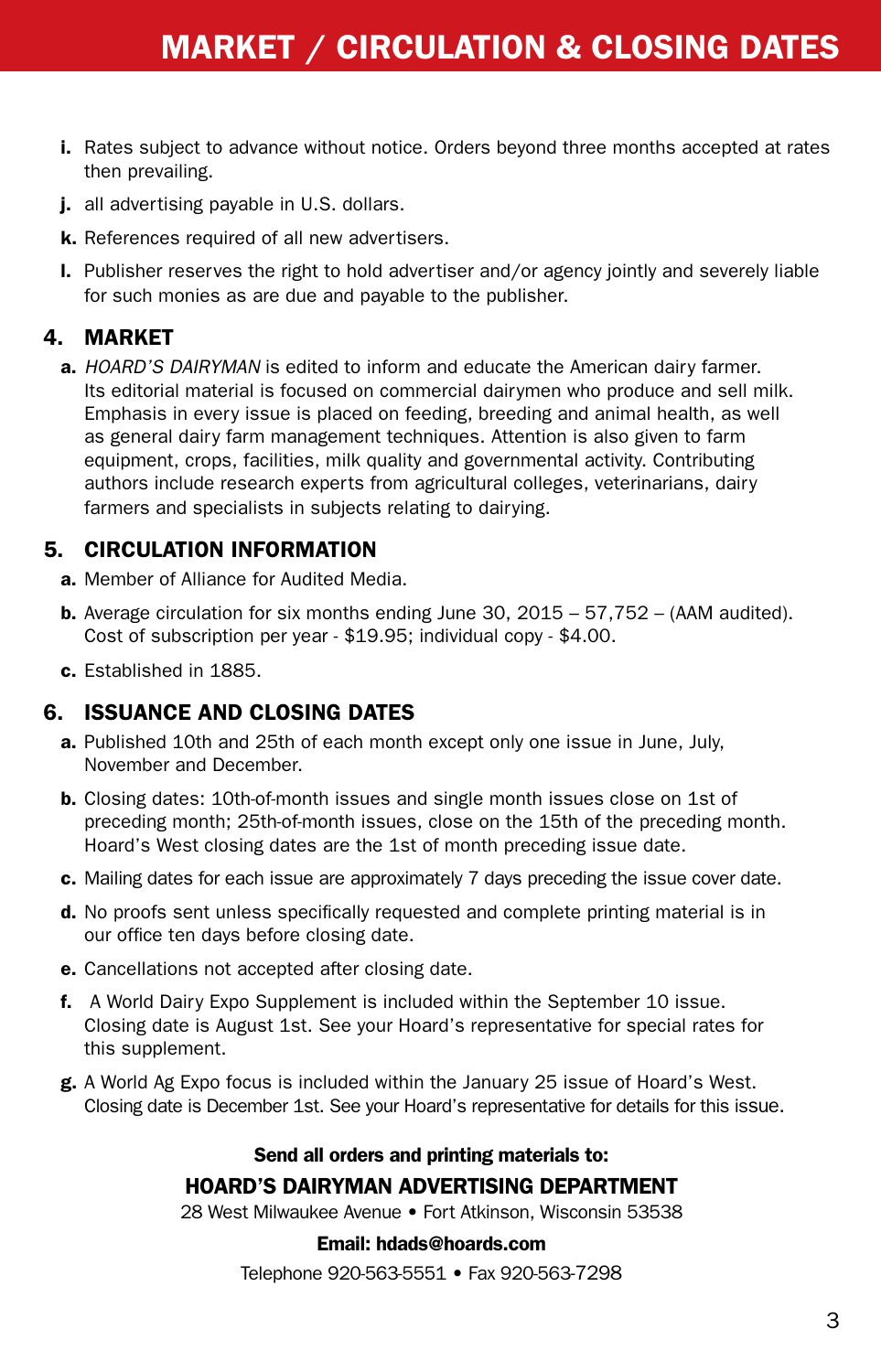- i. Rates subject to advance without notice. Orders beyond three months accepted at rates then prevailing.
- j. all advertising payable in U.S. dollars.
- k. References required of all new advertisers.
- l. Publisher reserves the right to hold advertiser and/or agency jointly and severely liable for such monies as are due and payable to the publisher.

#### 4. MARKET

 a. *HOARD'S DAIRYMAN* is edited to inform and educate the American dairy farmer. Its editorial material is focused on commercial dairymen who produce and sell milk. Emphasis in every issue is placed on feeding, breeding and animal health, as well as general dairy farm management techniques. Attention is also given to farm equipment, crops, facilities, milk quality and governmental activity. Contributing authors include research experts from agricultural colleges, veterinarians, dairy farmers and specialists in subjects relating to dairying.

#### 5. CIRCULATION INFORMATION

- a. Member of Alliance for Audited Media.
- **b.** Average circulation for six months ending June 30,  $2015 57.752 (AAM$  audited). Cost of subscription per year - \$19.95; individual copy - \$4.00.
- c. Established in 1885.

#### 6. ISSUANCE AND CLOSING DATES

- a. Published 10th and 25th of each month except only one issue in June, July, November and December.
- b. Closing dates: 10th-of-month issues and single month issues close on 1st of preceding month; 25th-of-month issues, close on the 15th of the preceding month. Hoard's West closing dates are the 1st of month preceding issue date.
- c. Mailing dates for each issue are approximately 7 days preceding the issue cover date.
- d. No proofs sent unless specifically requested and complete printing material is in our office ten days before closing date.
- e. Cancellations not accepted after closing date.
- f. A World Dairy Expo Supplement is included within the September 10 issue. Closing date is August 1st. See your Hoard's representative for special rates for this supplement.
- g. A World Ag Expo focus is included within the January 25 issue of Hoard's West. Closing date is December 1st. See your Hoard's representative for details for this issue.

## Send all orders and printing materials to: HOARD'S DAIRYMAN ADVERTISING DEPARTMENT

28 West Milwaukee Avenue • Fort Atkinson, Wisconsin 53538

#### Email: hdads@hoards.com

Telephone 920-563-5551 • Fax 920-563-7298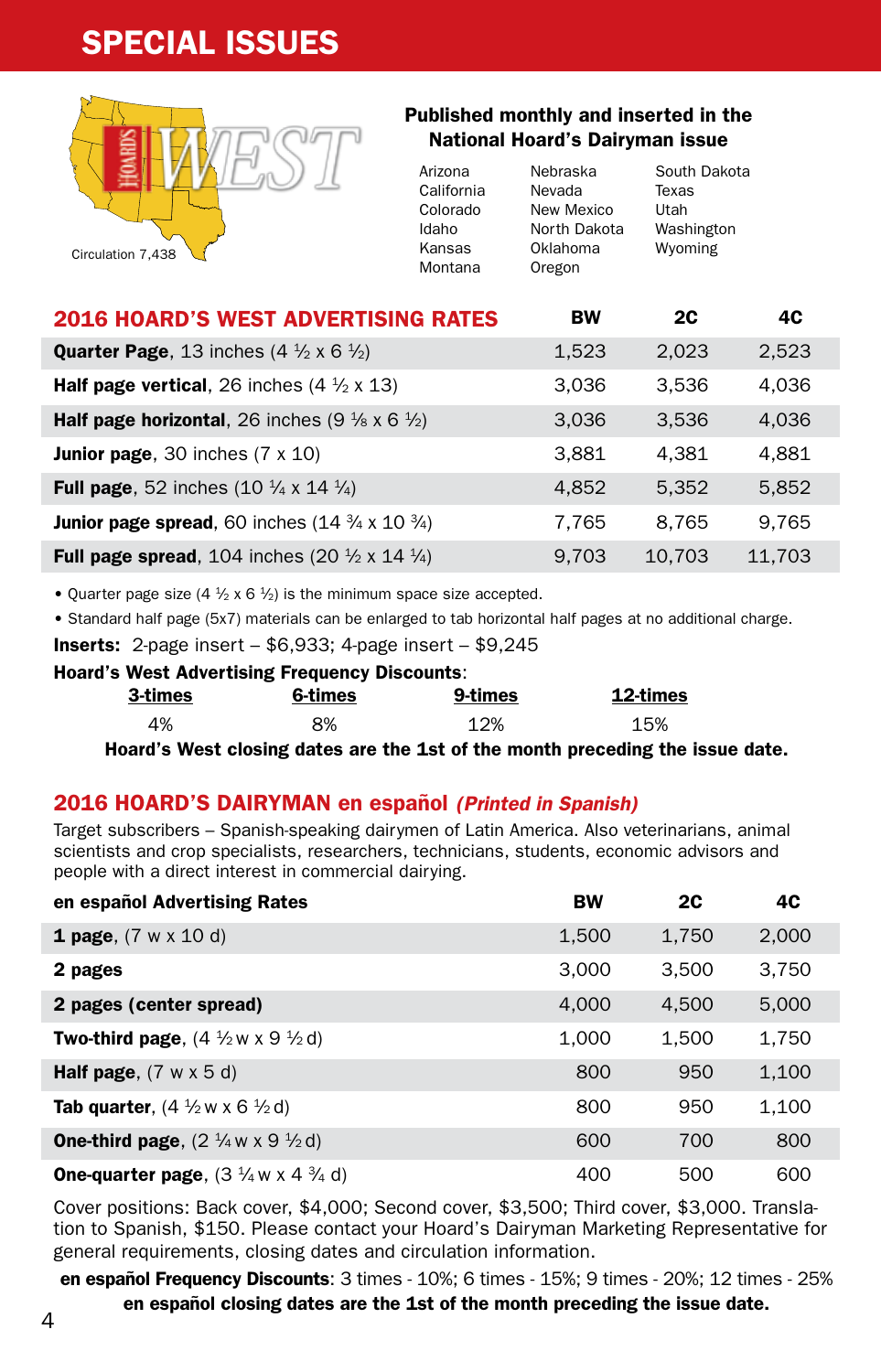# SPECIAL ISSUES



#### Published monthly and inserted in the National Hoard's Dairyman issue

| Arizona    | Nebraska     | South Dakota |
|------------|--------------|--------------|
| California | Nevada       | Texas        |
| Colorado   | New Mexico   | Utah         |
| Idaho      | North Dakota | Washington   |
| Kansas     | Oklahoma     | Wyoming      |
| Montana    | Oregon       |              |
|            |              |              |

| <b>2016 HOARD'S WEST ADVERTISING RATES</b>                                     | <b>BW</b> | 2C     | 4C     |
|--------------------------------------------------------------------------------|-----------|--------|--------|
| <b>Quarter Page</b> , 13 inches $(4 \frac{1}{2} \times 6 \frac{1}{2})$         | 1,523     | 2,023  | 2,523  |
| <b>Half page vertical</b> , 26 inches $(4 \frac{1}{2} \times 13)$              | 3.036     | 3.536  | 4,036  |
| <b>Half page horizontal</b> , 26 inches $(9\frac{1}{8} \times 6\frac{1}{2})$   | 3.036     | 3.536  | 4,036  |
| <b>Junior page</b> , 30 inches $(7 \times 10)$                                 | 3,881     | 4.381  | 4,881  |
| <b>Full page</b> , 52 inches $(10 \frac{1}{4} \times 14 \frac{1}{4})$          | 4,852     | 5.352  | 5,852  |
| <b>Junior page spread</b> , 60 inches $(14 \frac{3}{4} \times 10 \frac{3}{4})$ | 7.765     | 8.765  | 9.765  |
| <b>Full page spread,</b> 104 inches (20 $\frac{1}{2}$ x 14 $\frac{1}{4}$ )     | 9.703     | 10.703 | 11.703 |

• Quarter page size  $(4 \frac{1}{2} \times 6 \frac{1}{2})$  is the minimum space size accepted.

• Standard half page (5x7) materials can be enlarged to tab horizontal half pages at no additional charge.

**Inserts:** 2-page insert  $-$  \$6,933; 4-page insert  $-$  \$9,245

#### Hoard's West Advertising Frequency Discounts:

| 3-times | 6-times  | 9-times | 12-times |
|---------|----------|---------|----------|
| 4%      | 8%       | 12%     | 15%      |
| <br>. . | .<br>. . | .<br>   | <br>.    |

Hoard's West closing dates are the 1st of the month preceding the issue date.

#### 2016 HOARD'S DAIRYMAN en español *(Printed in Spanish)*

Target subscribers – Spanish-speaking dairymen of Latin America. Also veterinarians, animal scientists and crop specialists, researchers, technicians, students, economic advisors and people with a direct interest in commercial dairying.

| en español Advertising Rates                                         | <b>BW</b> | <b>2C</b> | 4C    |
|----------------------------------------------------------------------|-----------|-----------|-------|
| <b>1 page</b> , $(7 \text{ w} \times 10 \text{ d})$                  | 1,500     | 1,750     | 2,000 |
| 2 pages                                                              | 3,000     | 3.500     | 3,750 |
| 2 pages (center spread)                                              | 4.000     | 4.500     | 5,000 |
| <b>Two-third page.</b> $(4 \frac{1}{2} w \times 9 \frac{1}{2} d)$    | 1.000     | 1.500     | 1,750 |
| <b>Half page</b> , $(7 \text{ w} \times 5 \text{ d})$                | 800       | 950       | 1,100 |
| <b>Tab quarter.</b> $(4 \frac{1}{2} w \times 6 \frac{1}{2} d)$       | 800       | 950       | 1,100 |
| <b>One-third page.</b> $(2 \frac{1}{4} w \times 9 \frac{1}{2} d)$    | 600       | 700       | 800   |
| <b>One-quarter page</b> , $(3 \frac{1}{4} w \times 4 \frac{3}{4} d)$ | 400       | 500       | 600   |

Cover positions: Back cover, \$4,000; Second cover, \$3,500; Third cover, \$3,000. Translation to Spanish, \$150. Please contact your Hoard's Dairyman Marketing Representative for general requirements, closing dates and circulation information.

en español Frequency Discounts: 3 times - 10%; 6 times - 15%; 9 times - 20%; 12 times - 25% en español closing dates are the 1st of the month preceding the issue date.<br>4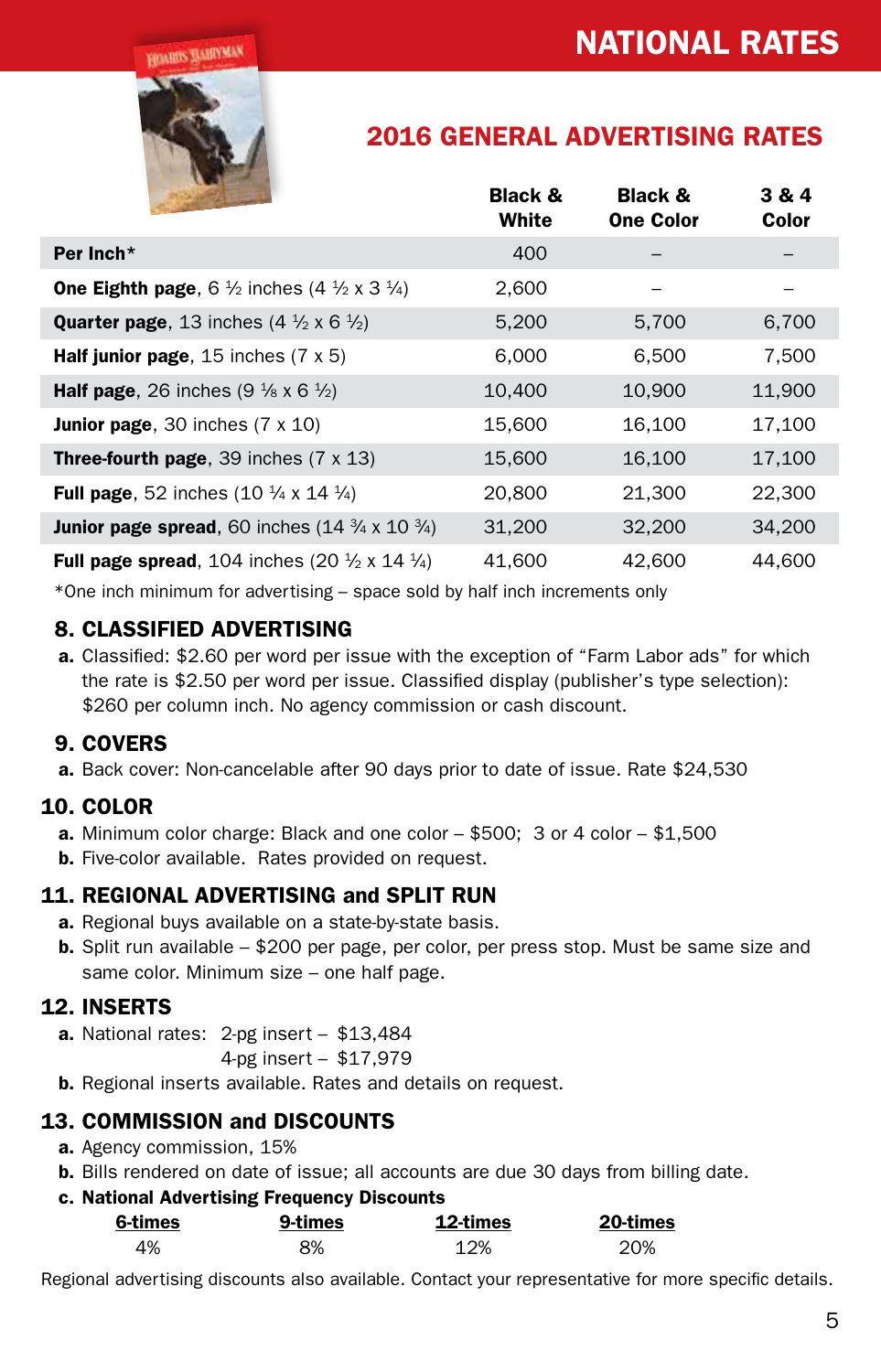**HOARDS MADIYMAN** 



# 2016 GENERAL ADVERTISING RATES

|                                                                                      | <b>Black &amp;</b><br>White | Black &<br><b>One Color</b> | 3 & 4<br>Color |
|--------------------------------------------------------------------------------------|-----------------------------|-----------------------------|----------------|
| Per Inch*                                                                            | 400                         |                             |                |
| <b>One Eighth page</b> , 6 $\frac{1}{2}$ inches (4 $\frac{1}{2}$ x 3 $\frac{1}{4}$ ) | 2,600                       |                             |                |
| <b>Quarter page</b> , 13 inches $(4 \frac{1}{2} \times 6 \frac{1}{2})$               | 5,200                       | 5,700                       | 6,700          |
| <b>Half junior page</b> , 15 inches $(7 \times 5)$                                   | 6,000                       | 6,500                       | 7,500          |
| <b>Half page.</b> 26 inches $(9\frac{1}{8} \times 6\frac{1}{2})$                     | 10,400                      | 10,900                      | 11,900         |
| <b>Junior page</b> , 30 inches $(7 \times 10)$                                       | 15,600                      | 16,100                      | 17,100         |
| <b>Three-fourth page, 39 inches (7 <math>\times</math> 13)</b>                       | 15,600                      | 16,100                      | 17,100         |
| <b>Full page.</b> 52 inches $(10 \frac{1}{4} \times 14 \frac{1}{4})$                 | 20,800                      | 21,300                      | 22,300         |
| <b>Junior page spread</b> , 60 inches $(14\frac{3}{4} \times 10\frac{3}{4})$         | 31,200                      | 32,200                      | 34,200         |
| <b>Full page spread,</b> 104 inches (20 $\frac{1}{2}$ x 14 $\frac{1}{4}$ )           | 41,600                      | 42,600                      | 44,600         |

\*One inch minimum for advertising – space sold by half inch increments only

#### 8. CLASSIFIED ADVERTISING

 a. Classified: \$2.60 per word per issue with the exception of "Farm Labor ads" for which the rate is \$2.50 per word per issue. Classified display (publisher's type selection): \$260 per column inch. No agency commission or cash discount.

#### 9. COVERS

a. Back cover: Non-cancelable after 90 days prior to date of issue. Rate \$24,530

# 10. COLOR

- **a.** Minimum color charge: Black and one color  $-$  \$500; 3 or 4 color  $-$  \$1,500
- **b.** Five-color available. Rates provided on request.

#### 11. REGIONAL ADVERTISING and SPLIT RUN

- a. Regional buys available on a state-by-state basis.
- **b.** Split run available \$200 per page, per color, per press stop. Must be same size and same color. Minimum size – one half page.

# 12. INSERTS

a. National rates: 2-pg insert - \$13,484

4-pg insert – \$17,979

**b.** Regional inserts available. Rates and details on request.

# 13. COMMISSION and DISCOUNTS

- a. Agency commission, 15%
- b. Bills rendered on date of issue; all accounts are due 30 days from billing date.

#### c. National Advertising Frequency Discounts

| 6-times | 9-times | 12-times | 20-times |
|---------|---------|----------|----------|
| 4%      | 8%      | 12%      | 20%      |

Regional advertising discounts also available. Contact your representative for more specific details.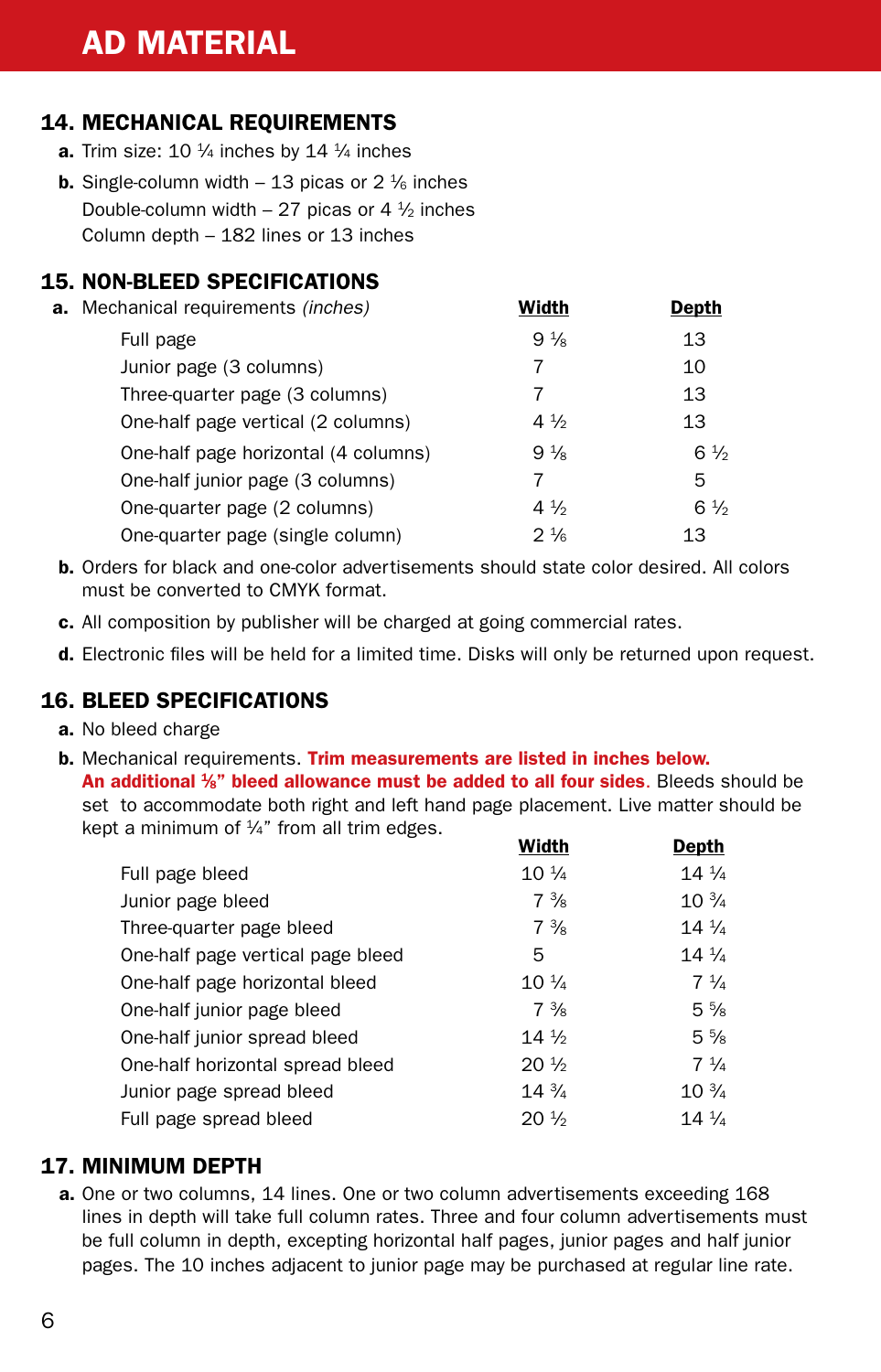# AD MATERIAL

# 14. MECHANICAL REQUIREMENTS

- **a.** Trim size: 10  $\frac{1}{4}$  inches by 14  $\frac{1}{4}$  inches
- **b.** Single-column width 13 picas or  $2\frac{1}{6}$  inches Double-column width – 27 picas or 4  $\frac{1}{2}$  inches Column depth – 182 lines or 13 inches

#### 15. NON-BLEED SPECIFICATIONS

| <b>a.</b> Mechanical requirements <i>(inches)</i> | Width          | Depth          |
|---------------------------------------------------|----------------|----------------|
| Full page                                         | $9\frac{1}{8}$ | 13             |
| Junior page (3 columns)                           | 7              | 10             |
| Three-quarter page (3 columns)                    | 7              | 13             |
| One-half page vertical (2 columns)                | $4\frac{1}{2}$ | 13             |
| One-half page horizontal (4 columns)              | $9\frac{1}{8}$ | $6\frac{1}{2}$ |
| One-half junior page (3 columns)                  | 7              | 5              |
| One-quarter page (2 columns)                      | $4\frac{1}{2}$ | $6\frac{1}{2}$ |
| One-quarter page (single column)                  | $2\frac{1}{6}$ | 13             |

- b. Orders for black and one-color advertisements should state color desired. All colors must be converted to CMYK format.
- c. All composition by publisher will be charged at going commercial rates.
- **d.** Electronic files will be held for a limited time. Disks will only be returned upon request.

#### 16. BLEED SPECIFICATIONS

- a. No bleed charge
- b. Mechanical requirements. Trim measurements are listed in inches below. An additional <sup>1</sup>/<sub>8</sub>" bleed allowance must be added to all four sides. Bleeds should be set to accommodate both right and left hand page placement. Live matter should be kept a minimum of  $\frac{1}{4}$ " from all trim edges.

|                                   | wiuth           | Depur           |
|-----------------------------------|-----------------|-----------------|
| Full page bleed                   | $10\frac{1}{4}$ | $14\frac{1}{4}$ |
| Junior page bleed                 | $7\frac{3}{8}$  | $10\frac{3}{4}$ |
| Three-quarter page bleed          | $7\frac{3}{8}$  | $14\frac{1}{4}$ |
| One-half page vertical page bleed | 5               | $14\frac{1}{4}$ |
| One-half page horizontal bleed    | $10\frac{1}{4}$ | $7\frac{1}{4}$  |
| One-half junior page bleed        | $7\frac{3}{8}$  | $5\frac{5}{8}$  |
| One-half junior spread bleed      | $14\frac{1}{2}$ | $5\%$           |
| One-half horizontal spread bleed  | $20\frac{1}{2}$ | $7\frac{1}{4}$  |
| Junior page spread bleed          | $14\frac{3}{4}$ | $10\frac{3}{4}$ |
| Full page spread bleed            | $20\frac{1}{2}$ | $14\frac{1}{4}$ |
|                                   |                 |                 |

#### 17. MINIMUM DEPTH

 a. One or two columns, 14 lines. One or two column advertisements exceeding 168 lines in depth will take full column rates. Three and four column advertisements must be full column in depth, excepting horizontal half pages, junior pages and half junior pages. The 10 inches adjacent to junior page may be purchased at regular line rate.